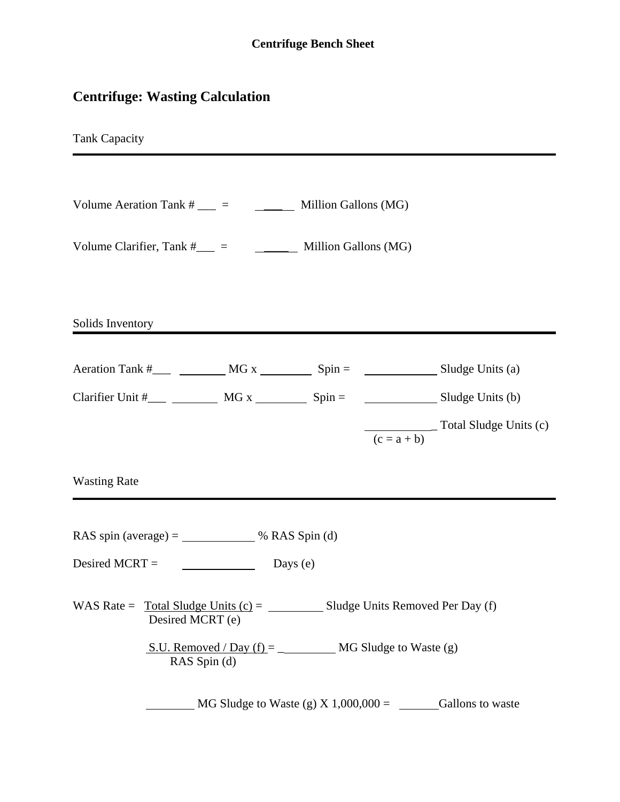## **Centrifuge: Wasting Calculation**

Tank Capacity

| Volume Aeration Tank # |  | Million Gallons (MG) |
|------------------------|--|----------------------|
|------------------------|--|----------------------|

| Volume Clarifier, Tank # |  | Million Gallons (MG) |
|--------------------------|--|----------------------|
|                          |  |                      |

Solids Inventory

| Aeration Tank #  | MG x | $Spin =$ |               | Sludge Units (a)       |
|------------------|------|----------|---------------|------------------------|
| Clarifier Unit # | MG x | $Spin =$ |               | Sludge Units (b)       |
|                  |      |          | $(c = a + b)$ | Total Sludge Units (c) |

Wasting Rate

RAS spin (average) =  $\frac{\text{RAS } \text{Spin (d)}}{\text{SBS}}$ 

Desired MCRT =  $\qquad \qquad$  Days (e)

WAS Rate =  $\text{Total Sludge Units (c)} =$  Sludge Units Removed Per Day (f) Desired MCRT (e)

> S.U. Removed / Day (f) = \_ MG Sludge to Waste (g) RAS Spin (d)

 $\frac{\text{MG Sludge to Waste (g) X 1,000,000 = \text{Gallons to waste}}{Gallons}}$